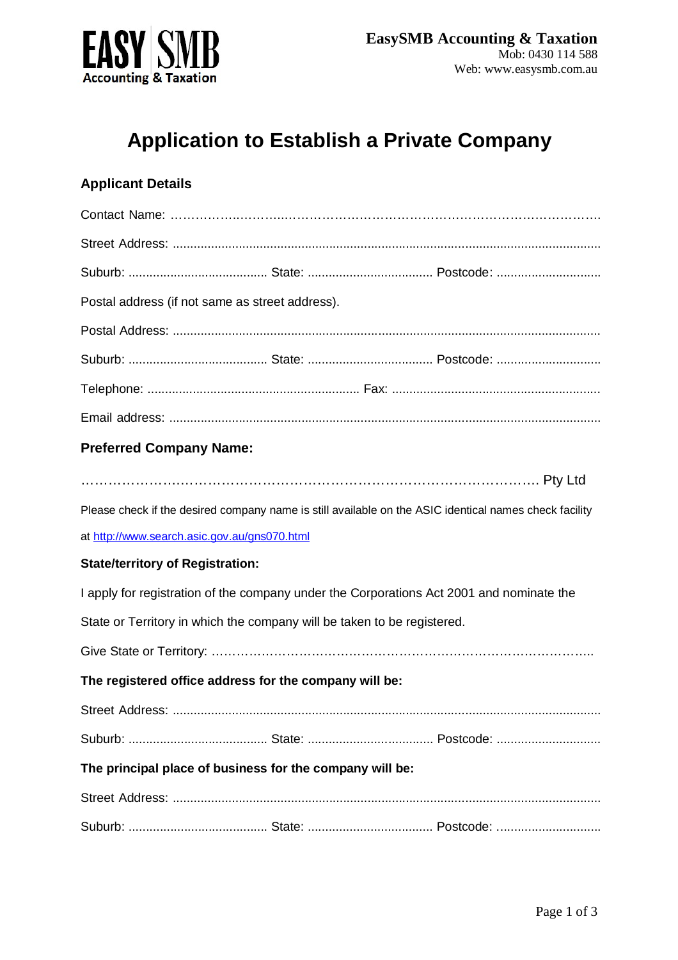

# **Application to Establish a Private Company**

## **Applicant Details**

| Postal address (if not same as street address).                                                        |  |  |  |  |
|--------------------------------------------------------------------------------------------------------|--|--|--|--|
|                                                                                                        |  |  |  |  |
|                                                                                                        |  |  |  |  |
|                                                                                                        |  |  |  |  |
|                                                                                                        |  |  |  |  |
| <b>Preferred Company Name:</b>                                                                         |  |  |  |  |
|                                                                                                        |  |  |  |  |
| Please check if the desired company name is still available on the ASIC identical names check facility |  |  |  |  |
| at http://www.search.asic.gov.au/gns070.html                                                           |  |  |  |  |
| <b>State/territory of Registration:</b>                                                                |  |  |  |  |
| I apply for registration of the company under the Corporations Act 2001 and nominate the               |  |  |  |  |
| State or Territory in which the company will be taken to be registered.                                |  |  |  |  |
|                                                                                                        |  |  |  |  |
| The registered office address for the company will be:                                                 |  |  |  |  |
|                                                                                                        |  |  |  |  |
|                                                                                                        |  |  |  |  |
|                                                                                                        |  |  |  |  |

## **The principal place of business for the company will be:**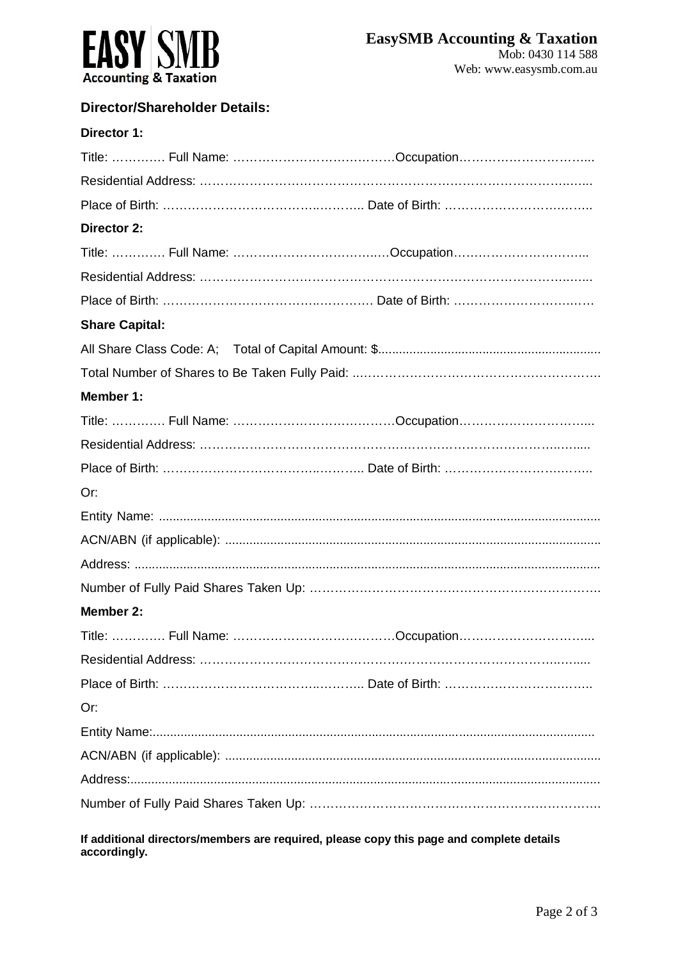

### **Director/Shareholder Details:**

| Director 1:           |  |
|-----------------------|--|
|                       |  |
|                       |  |
|                       |  |
| <b>Director 2:</b>    |  |
|                       |  |
|                       |  |
|                       |  |
| <b>Share Capital:</b> |  |
|                       |  |
|                       |  |
| Member 1:             |  |
|                       |  |
|                       |  |
|                       |  |
| Or:                   |  |
|                       |  |
|                       |  |
|                       |  |
|                       |  |
| Member 2:             |  |
|                       |  |
|                       |  |
|                       |  |
| Or:                   |  |
|                       |  |
|                       |  |
|                       |  |
|                       |  |
|                       |  |

**If additional directors/members are required, please copy this page and complete details accordingly.**